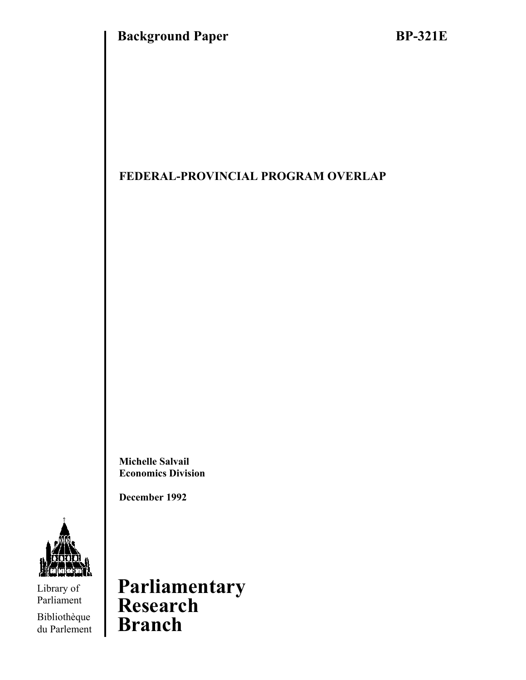## **FEDERAL-PROVINCIAL PROGRAM OVERLAP**

**Michelle Salvail Economics Division** 

**December 1992** 



Library of Parliament

Bibliothèque du Parlement

**Parliamentary Research Branch**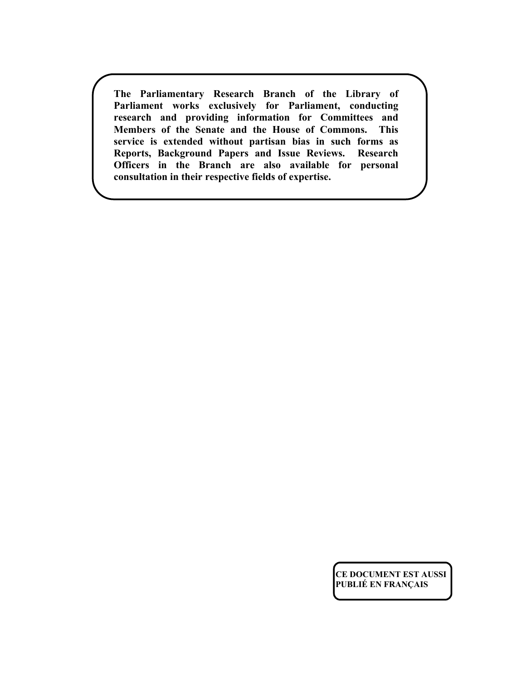**The Parliamentary Research Branch of the Library of Parliament works exclusively for Parliament, conducting research and providing information for Committees and Members of the Senate and the House of Commons. This service is extended without partisan bias in such forms as Reports, Background Papers and Issue Reviews. Research Officers in the Branch are also available for personal consultation in their respective fields of expertise.** 

> **CE DOCUMENT EST AUSSI PUBLIÉ EN FRANÇAIS**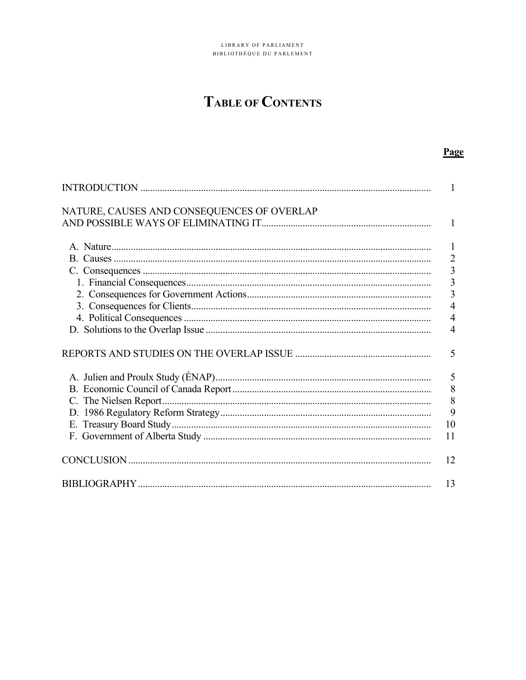# **TABLE OF CONTENTS**

### Page

|                                            | 1                                          |
|--------------------------------------------|--------------------------------------------|
| NATURE, CAUSES AND CONSEQUENCES OF OVERLAP |                                            |
|                                            | 1                                          |
|                                            | $\mathbf{1}$                               |
|                                            | $\overline{2}$                             |
|                                            |                                            |
|                                            |                                            |
|                                            | $\begin{array}{c} 3 \\ 3 \\ 3 \end{array}$ |
|                                            | $\overline{4}$                             |
|                                            | 4                                          |
|                                            | 4                                          |
|                                            |                                            |
|                                            | 5                                          |
|                                            | 5                                          |
|                                            | 8                                          |
|                                            | 8                                          |
|                                            | 9                                          |
|                                            | 10                                         |
|                                            | 11                                         |
|                                            |                                            |
|                                            | 12                                         |
|                                            | 13                                         |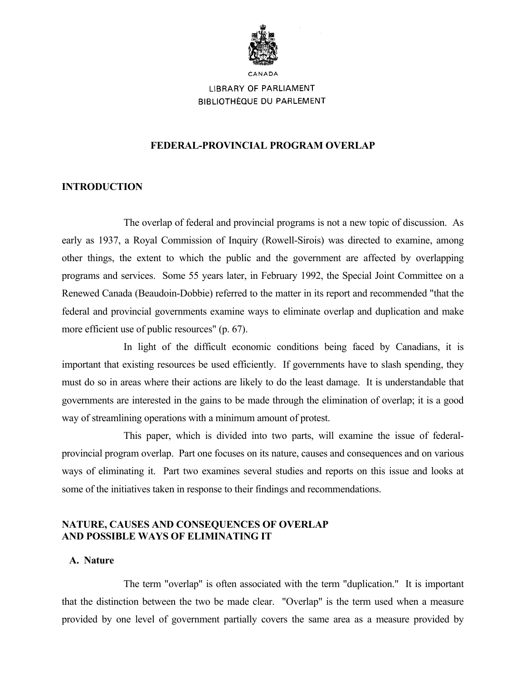

**LIBRARY OF PARLIAMENT** 

**BIBLIOTHÈQUE DU PARLEMENT** 

### **FEDERAL-PROVINCIAL PROGRAM OVERLAP**

### **INTRODUCTION**

 The overlap of federal and provincial programs is not a new topic of discussion. As early as 1937, a Royal Commission of Inquiry (Rowell-Sirois) was directed to examine, among other things, the extent to which the public and the government are affected by overlapping programs and services. Some 55 years later, in February 1992, the Special Joint Committee on a Renewed Canada (Beaudoin-Dobbie) referred to the matter in its report and recommended "that the federal and provincial governments examine ways to eliminate overlap and duplication and make more efficient use of public resources" (p. 67).

 In light of the difficult economic conditions being faced by Canadians, it is important that existing resources be used efficiently. If governments have to slash spending, they must do so in areas where their actions are likely to do the least damage. It is understandable that governments are interested in the gains to be made through the elimination of overlap; it is a good way of streamlining operations with a minimum amount of protest.

 This paper, which is divided into two parts, will examine the issue of federalprovincial program overlap. Part one focuses on its nature, causes and consequences and on various ways of eliminating it. Part two examines several studies and reports on this issue and looks at some of the initiatives taken in response to their findings and recommendations.

### **NATURE, CAUSES AND CONSEQUENCES OF OVERLAP AND POSSIBLE WAYS OF ELIMINATING IT**

### **A. Nature**

 The term "overlap" is often associated with the term "duplication." It is important that the distinction between the two be made clear. "Overlap" is the term used when a measure provided by one level of government partially covers the same area as a measure provided by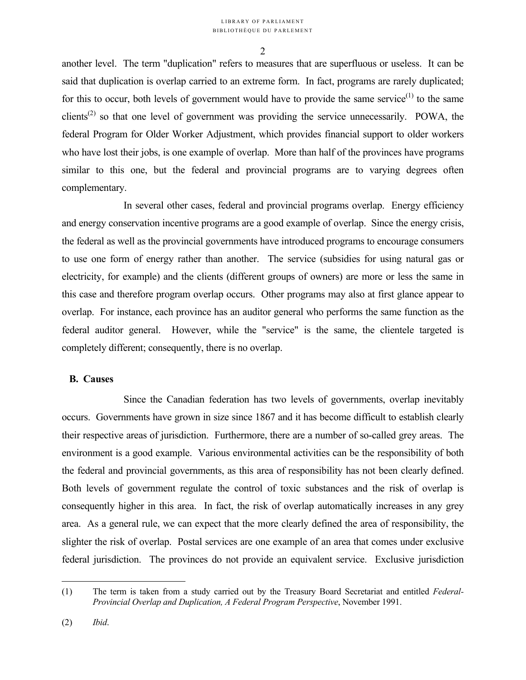another level. The term "duplication" refers to measures that are superfluous or useless. It can be said that duplication is overlap carried to an extreme form. In fact, programs are rarely duplicated; for this to occur, both levels of government would have to provide the same service<sup> $(1)$ </sup> to the same clients<sup>(2)</sup> so that one level of government was providing the service unnecessarily. POWA, the federal Program for Older Worker Adjustment, which provides financial support to older workers who have lost their jobs, is one example of overlap. More than half of the provinces have programs similar to this one, but the federal and provincial programs are to varying degrees often complementary.

 In several other cases, federal and provincial programs overlap. Energy efficiency and energy conservation incentive programs are a good example of overlap. Since the energy crisis, the federal as well as the provincial governments have introduced programs to encourage consumers to use one form of energy rather than another. The service (subsidies for using natural gas or electricity, for example) and the clients (different groups of owners) are more or less the same in this case and therefore program overlap occurs. Other programs may also at first glance appear to overlap. For instance, each province has an auditor general who performs the same function as the federal auditor general. However, while the "service" is the same, the clientele targeted is completely different; consequently, there is no overlap.

### **B. Causes**

 Since the Canadian federation has two levels of governments, overlap inevitably occurs. Governments have grown in size since 1867 and it has become difficult to establish clearly their respective areas of jurisdiction. Furthermore, there are a number of so-called grey areas. The environment is a good example. Various environmental activities can be the responsibility of both the federal and provincial governments, as this area of responsibility has not been clearly defined. Both levels of government regulate the control of toxic substances and the risk of overlap is consequently higher in this area. In fact, the risk of overlap automatically increases in any grey area. As a general rule, we can expect that the more clearly defined the area of responsibility, the slighter the risk of overlap. Postal services are one example of an area that comes under exclusive federal jurisdiction. The provinces do not provide an equivalent service. Exclusive jurisdiction

 $\overline{a}$ 

<sup>(1)</sup> The term is taken from a study carried out by the Treasury Board Secretariat and entitled *Federal-Provincial Overlap and Duplication, A Federal Program Perspective*, November 1991.

<sup>(2)</sup> *Ibid*.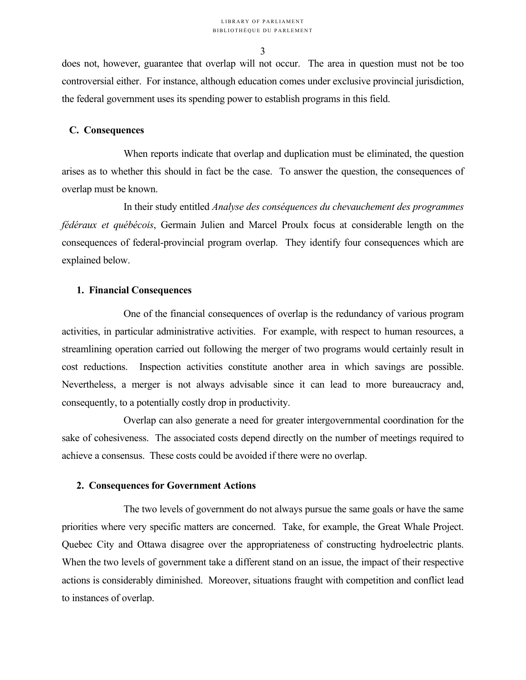does not, however, guarantee that overlap will not occur. The area in question must not be too controversial either. For instance, although education comes under exclusive provincial jurisdiction, the federal government uses its spending power to establish programs in this field.

### **C. Consequences**

 When reports indicate that overlap and duplication must be eliminated, the question arises as to whether this should in fact be the case. To answer the question, the consequences of overlap must be known.

 In their study entitled *Analyse des conséquences du chevauchement des programmes fédéraux et québécois*, Germain Julien and Marcel Proulx focus at considerable length on the consequences of federal-provincial program overlap. They identify four consequences which are explained below.

### **1. Financial Consequences**

 One of the financial consequences of overlap is the redundancy of various program activities, in particular administrative activities. For example, with respect to human resources, a streamlining operation carried out following the merger of two programs would certainly result in cost reductions. Inspection activities constitute another area in which savings are possible. Nevertheless, a merger is not always advisable since it can lead to more bureaucracy and, consequently, to a potentially costly drop in productivity.

 Overlap can also generate a need for greater intergovernmental coordination for the sake of cohesiveness. The associated costs depend directly on the number of meetings required to achieve a consensus. These costs could be avoided if there were no overlap.

#### **2. Consequences for Government Actions**

 The two levels of government do not always pursue the same goals or have the same priorities where very specific matters are concerned. Take, for example, the Great Whale Project. Quebec City and Ottawa disagree over the appropriateness of constructing hydroelectric plants. When the two levels of government take a different stand on an issue, the impact of their respective actions is considerably diminished. Moreover, situations fraught with competition and conflict lead to instances of overlap.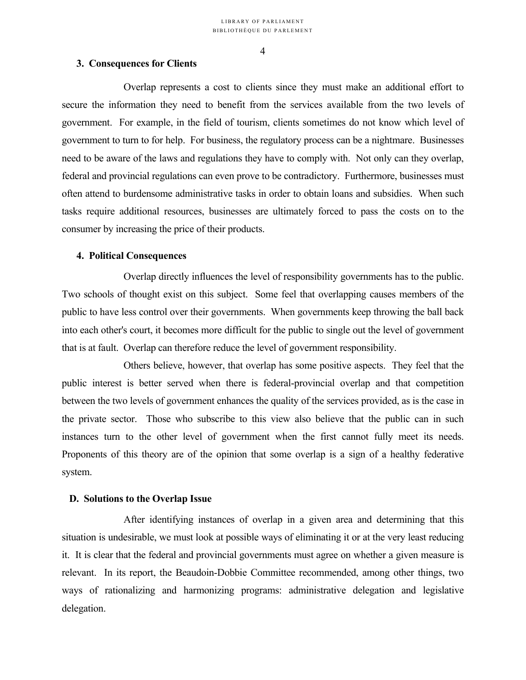### **3. Consequences for Clients**

 Overlap represents a cost to clients since they must make an additional effort to secure the information they need to benefit from the services available from the two levels of government. For example, in the field of tourism, clients sometimes do not know which level of government to turn to for help. For business, the regulatory process can be a nightmare. Businesses need to be aware of the laws and regulations they have to comply with. Not only can they overlap, federal and provincial regulations can even prove to be contradictory. Furthermore, businesses must often attend to burdensome administrative tasks in order to obtain loans and subsidies. When such tasks require additional resources, businesses are ultimately forced to pass the costs on to the consumer by increasing the price of their products.

### **4. Political Consequences**

 Overlap directly influences the level of responsibility governments has to the public. Two schools of thought exist on this subject. Some feel that overlapping causes members of the public to have less control over their governments. When governments keep throwing the ball back into each other's court, it becomes more difficult for the public to single out the level of government that is at fault. Overlap can therefore reduce the level of government responsibility.

 Others believe, however, that overlap has some positive aspects. They feel that the public interest is better served when there is federal-provincial overlap and that competition between the two levels of government enhances the quality of the services provided, as is the case in the private sector. Those who subscribe to this view also believe that the public can in such instances turn to the other level of government when the first cannot fully meet its needs. Proponents of this theory are of the opinion that some overlap is a sign of a healthy federative system.

#### **D. Solutions to the Overlap Issue**

 After identifying instances of overlap in a given area and determining that this situation is undesirable, we must look at possible ways of eliminating it or at the very least reducing it. It is clear that the federal and provincial governments must agree on whether a given measure is relevant. In its report, the Beaudoin-Dobbie Committee recommended, among other things, two ways of rationalizing and harmonizing programs: administrative delegation and legislative delegation.

#### 4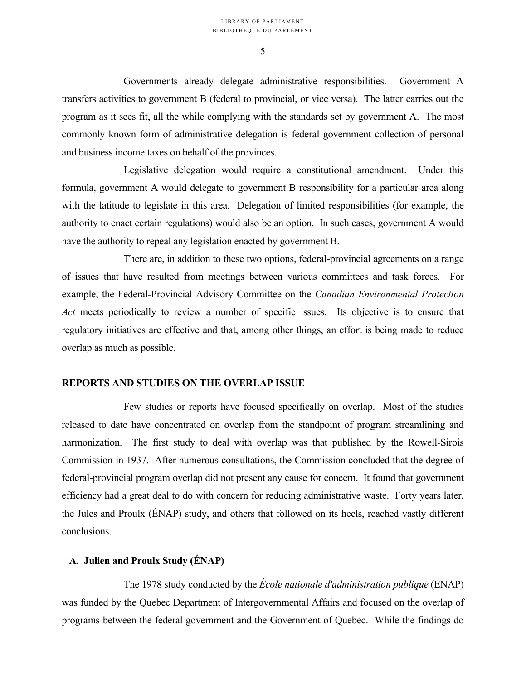Governments already delegate administrative responsibilities. Government A transfers activities to government B (federal to provincial, or vice versa). The latter carries out the program as it sees fit, all the while complying with the standards set by government A. The most commonly known form of administrative delegation is federal government collection of personal and business income taxes on behalf of the provinces.

 Legislative delegation would require a constitutional amendment. Under this formula, government A would delegate to government B responsibility for a particular area along with the latitude to legislate in this area. Delegation of limited responsibilities (for example, the authority to enact certain regulations) would also be an option. In such cases, government A would have the authority to repeal any legislation enacted by government B.

 There are, in addition to these two options, federal-provincial agreements on a range of issues that have resulted from meetings between various committees and task forces. For example, the Federal-Provincial Advisory Committee on the *Canadian Environmental Protection Act* meets periodically to review a number of specific issues. Its objective is to ensure that regulatory initiatives are effective and that, among other things, an effort is being made to reduce overlap as much as possible.

### **REPORTS AND STUDIES ON THE OVERLAP ISSUE**

 Few studies or reports have focused specifically on overlap. Most of the studies released to date have concentrated on overlap from the standpoint of program streamlining and harmonization. The first study to deal with overlap was that published by the Rowell-Sirois Commission in 1937. After numerous consultations, the Commission concluded that the degree of federal-provincial program overlap did not present any cause for concern. It found that government efficiency had a great deal to do with concern for reducing administrative waste. Forty years later, the Jules and Proulx (ÉNAP) study, and others that followed on its heels, reached vastly different conclusions.

### **A. Julien and Proulx Study (ÉNAP)**

 The 1978 study conducted by the *École nationale d'administration publique* (ENAP) was funded by the Quebec Department of Intergovernmental Affairs and focused on the overlap of programs between the federal government and the Government of Quebec. While the findings do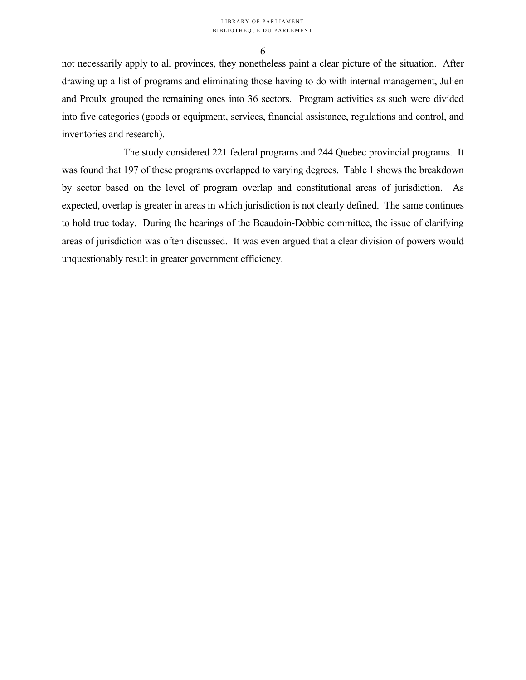not necessarily apply to all provinces, they nonetheless paint a clear picture of the situation. After drawing up a list of programs and eliminating those having to do with internal management, Julien and Proulx grouped the remaining ones into 36 sectors. Program activities as such were divided into five categories (goods or equipment, services, financial assistance, regulations and control, and inventories and research).

 The study considered 221 federal programs and 244 Quebec provincial programs. It was found that 197 of these programs overlapped to varying degrees. Table 1 shows the breakdown by sector based on the level of program overlap and constitutional areas of jurisdiction. As expected, overlap is greater in areas in which jurisdiction is not clearly defined. The same continues to hold true today. During the hearings of the Beaudoin-Dobbie committee, the issue of clarifying areas of jurisdiction was often discussed. It was even argued that a clear division of powers would unquestionably result in greater government efficiency.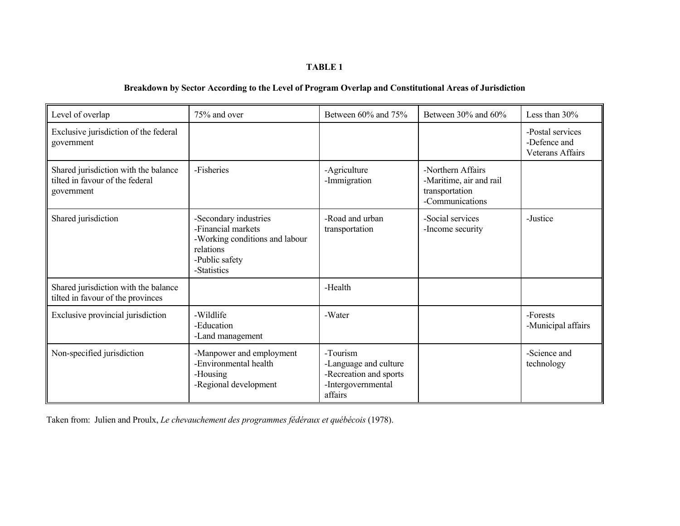#### **TABLE 1**

### **Breakdown by Sector According to the Level of Program Overlap and Constitutional Areas of Jurisdiction**

| Level of overlap                                                                      | 75% and over                                                                                                                | Between 60% and 75%                                                                          | Between 30% and 60%                                                               | Less than 30%                                               |
|---------------------------------------------------------------------------------------|-----------------------------------------------------------------------------------------------------------------------------|----------------------------------------------------------------------------------------------|-----------------------------------------------------------------------------------|-------------------------------------------------------------|
| Exclusive jurisdiction of the federal<br>government                                   |                                                                                                                             |                                                                                              |                                                                                   | -Postal services<br>-Defence and<br><b>Veterans Affairs</b> |
| Shared jurisdiction with the balance<br>tilted in favour of the federal<br>government | -Fisheries                                                                                                                  | -Agriculture<br>-Immigration                                                                 | -Northern Affairs<br>-Maritime, air and rail<br>transportation<br>-Communications |                                                             |
| Shared jurisdiction                                                                   | -Secondary industries<br>-Financial markets<br>-Working conditions and labour<br>relations<br>-Public safety<br>-Statistics | -Road and urban<br>transportation                                                            | -Social services<br>-Income security                                              | -Justice                                                    |
| Shared jurisdiction with the balance<br>tilted in favour of the provinces             |                                                                                                                             | -Health                                                                                      |                                                                                   |                                                             |
| Exclusive provincial jurisdiction                                                     | -Wildlife<br>-Education<br>-Land management                                                                                 | -Water                                                                                       |                                                                                   | -Forests<br>-Municipal affairs                              |
| Non-specified jurisdiction                                                            | -Manpower and employment<br>-Environmental health<br>-Housing<br>-Regional development                                      | -Tourism<br>-Language and culture<br>-Recreation and sports<br>-Intergovernmental<br>affairs |                                                                                   | -Science and<br>technology                                  |

Taken from: Julien and Proulx, *Le chevauchement des programmes fédéraux et québécois* (1978).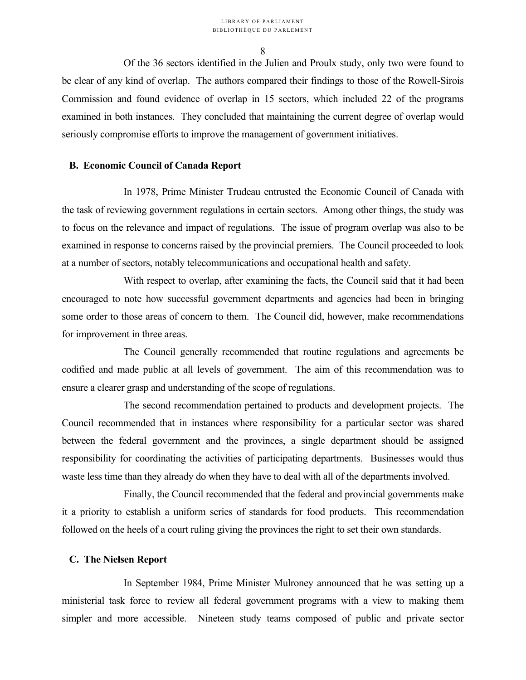Of the 36 sectors identified in the Julien and Proulx study, only two were found to be clear of any kind of overlap. The authors compared their findings to those of the Rowell-Sirois Commission and found evidence of overlap in 15 sectors, which included 22 of the programs examined in both instances. They concluded that maintaining the current degree of overlap would seriously compromise efforts to improve the management of government initiatives.

### **B. Economic Council of Canada Report**

 In 1978, Prime Minister Trudeau entrusted the Economic Council of Canada with the task of reviewing government regulations in certain sectors. Among other things, the study was to focus on the relevance and impact of regulations. The issue of program overlap was also to be examined in response to concerns raised by the provincial premiers. The Council proceeded to look at a number of sectors, notably telecommunications and occupational health and safety.

 With respect to overlap, after examining the facts, the Council said that it had been encouraged to note how successful government departments and agencies had been in bringing some order to those areas of concern to them. The Council did, however, make recommendations for improvement in three areas.

 The Council generally recommended that routine regulations and agreements be codified and made public at all levels of government. The aim of this recommendation was to ensure a clearer grasp and understanding of the scope of regulations.

 The second recommendation pertained to products and development projects. The Council recommended that in instances where responsibility for a particular sector was shared between the federal government and the provinces, a single department should be assigned responsibility for coordinating the activities of participating departments. Businesses would thus waste less time than they already do when they have to deal with all of the departments involved.

 Finally, the Council recommended that the federal and provincial governments make it a priority to establish a uniform series of standards for food products. This recommendation followed on the heels of a court ruling giving the provinces the right to set their own standards.

### **C. The Nielsen Report**

 In September 1984, Prime Minister Mulroney announced that he was setting up a ministerial task force to review all federal government programs with a view to making them simpler and more accessible. Nineteen study teams composed of public and private sector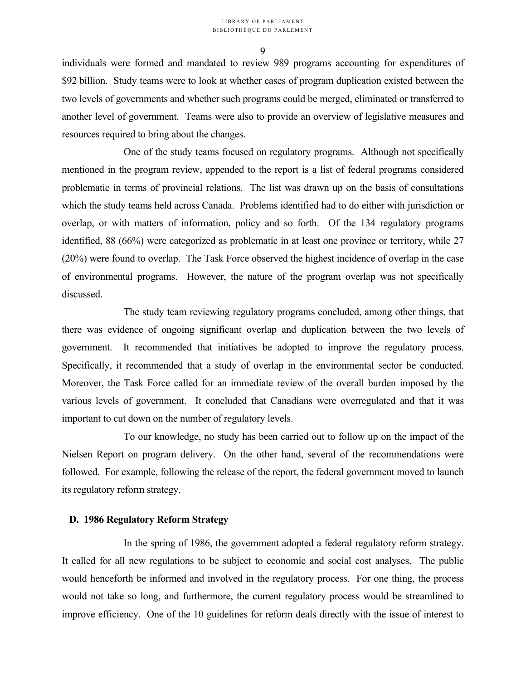$\mathbf Q$ 

individuals were formed and mandated to review 989 programs accounting for expenditures of \$92 billion. Study teams were to look at whether cases of program duplication existed between the two levels of governments and whether such programs could be merged, eliminated or transferred to another level of government. Teams were also to provide an overview of legislative measures and resources required to bring about the changes.

 One of the study teams focused on regulatory programs. Although not specifically mentioned in the program review, appended to the report is a list of federal programs considered problematic in terms of provincial relations. The list was drawn up on the basis of consultations which the study teams held across Canada. Problems identified had to do either with jurisdiction or overlap, or with matters of information, policy and so forth. Of the 134 regulatory programs identified, 88 (66%) were categorized as problematic in at least one province or territory, while 27 (20%) were found to overlap. The Task Force observed the highest incidence of overlap in the case of environmental programs. However, the nature of the program overlap was not specifically discussed.

 The study team reviewing regulatory programs concluded, among other things, that there was evidence of ongoing significant overlap and duplication between the two levels of government. It recommended that initiatives be adopted to improve the regulatory process. Specifically, it recommended that a study of overlap in the environmental sector be conducted. Moreover, the Task Force called for an immediate review of the overall burden imposed by the various levels of government. It concluded that Canadians were overregulated and that it was important to cut down on the number of regulatory levels.

 To our knowledge, no study has been carried out to follow up on the impact of the Nielsen Report on program delivery. On the other hand, several of the recommendations were followed. For example, following the release of the report, the federal government moved to launch its regulatory reform strategy.

#### **D. 1986 Regulatory Reform Strategy**

 In the spring of 1986, the government adopted a federal regulatory reform strategy. It called for all new regulations to be subject to economic and social cost analyses. The public would henceforth be informed and involved in the regulatory process. For one thing, the process would not take so long, and furthermore, the current regulatory process would be streamlined to improve efficiency. One of the 10 guidelines for reform deals directly with the issue of interest to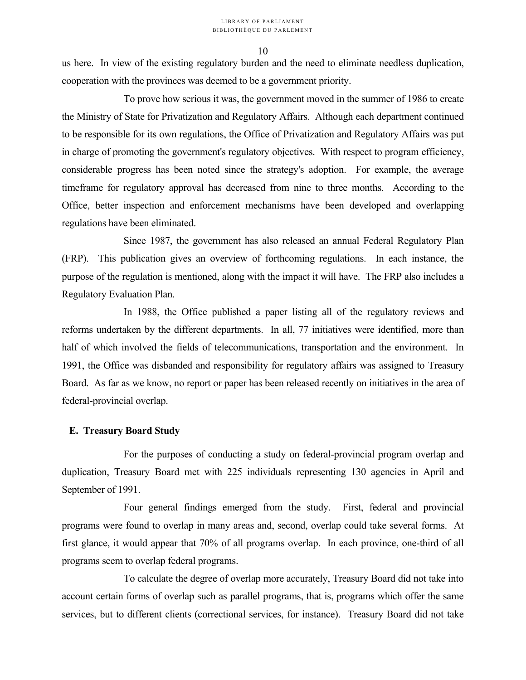us here. In view of the existing regulatory burden and the need to eliminate needless duplication, cooperation with the provinces was deemed to be a government priority.

 To prove how serious it was, the government moved in the summer of 1986 to create the Ministry of State for Privatization and Regulatory Affairs. Although each department continued to be responsible for its own regulations, the Office of Privatization and Regulatory Affairs was put in charge of promoting the government's regulatory objectives. With respect to program efficiency, considerable progress has been noted since the strategy's adoption. For example, the average timeframe for regulatory approval has decreased from nine to three months. According to the Office, better inspection and enforcement mechanisms have been developed and overlapping regulations have been eliminated.

 Since 1987, the government has also released an annual Federal Regulatory Plan (FRP). This publication gives an overview of forthcoming regulations. In each instance, the purpose of the regulation is mentioned, along with the impact it will have. The FRP also includes a Regulatory Evaluation Plan.

 In 1988, the Office published a paper listing all of the regulatory reviews and reforms undertaken by the different departments. In all, 77 initiatives were identified, more than half of which involved the fields of telecommunications, transportation and the environment. In 1991, the Office was disbanded and responsibility for regulatory affairs was assigned to Treasury Board. As far as we know, no report or paper has been released recently on initiatives in the area of federal-provincial overlap.

### **E. Treasury Board Study**

 For the purposes of conducting a study on federal-provincial program overlap and duplication, Treasury Board met with 225 individuals representing 130 agencies in April and September of 1991.

 Four general findings emerged from the study. First, federal and provincial programs were found to overlap in many areas and, second, overlap could take several forms. At first glance, it would appear that 70% of all programs overlap. In each province, one-third of all programs seem to overlap federal programs.

 To calculate the degree of overlap more accurately, Treasury Board did not take into account certain forms of overlap such as parallel programs, that is, programs which offer the same services, but to different clients (correctional services, for instance). Treasury Board did not take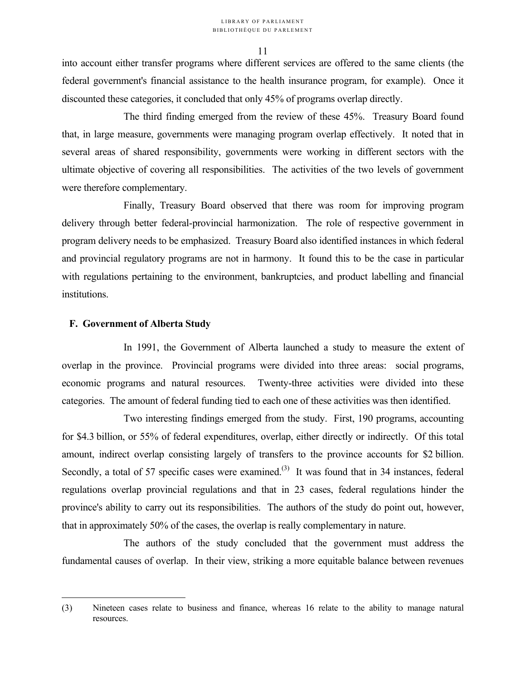into account either transfer programs where different services are offered to the same clients (the federal government's financial assistance to the health insurance program, for example). Once it discounted these categories, it concluded that only 45% of programs overlap directly.

 The third finding emerged from the review of these 45%. Treasury Board found that, in large measure, governments were managing program overlap effectively. It noted that in several areas of shared responsibility, governments were working in different sectors with the ultimate objective of covering all responsibilities. The activities of the two levels of government were therefore complementary.

 Finally, Treasury Board observed that there was room for improving program delivery through better federal-provincial harmonization. The role of respective government in program delivery needs to be emphasized. Treasury Board also identified instances in which federal and provincial regulatory programs are not in harmony. It found this to be the case in particular with regulations pertaining to the environment, bankruptcies, and product labelling and financial institutions.

### **F. Government of Alberta Study**

1

 In 1991, the Government of Alberta launched a study to measure the extent of overlap in the province. Provincial programs were divided into three areas: social programs, economic programs and natural resources. Twenty-three activities were divided into these categories. The amount of federal funding tied to each one of these activities was then identified.

 Two interesting findings emerged from the study. First, 190 programs, accounting for \$4.3 billion, or 55% of federal expenditures, overlap, either directly or indirectly. Of this total amount, indirect overlap consisting largely of transfers to the province accounts for \$2 billion. Secondly, a total of 57 specific cases were examined.<sup>(3)</sup> It was found that in 34 instances, federal regulations overlap provincial regulations and that in 23 cases, federal regulations hinder the province's ability to carry out its responsibilities. The authors of the study do point out, however, that in approximately 50% of the cases, the overlap is really complementary in nature.

 The authors of the study concluded that the government must address the fundamental causes of overlap. In their view, striking a more equitable balance between revenues

<sup>(3)</sup> Nineteen cases relate to business and finance, whereas 16 relate to the ability to manage natural resources.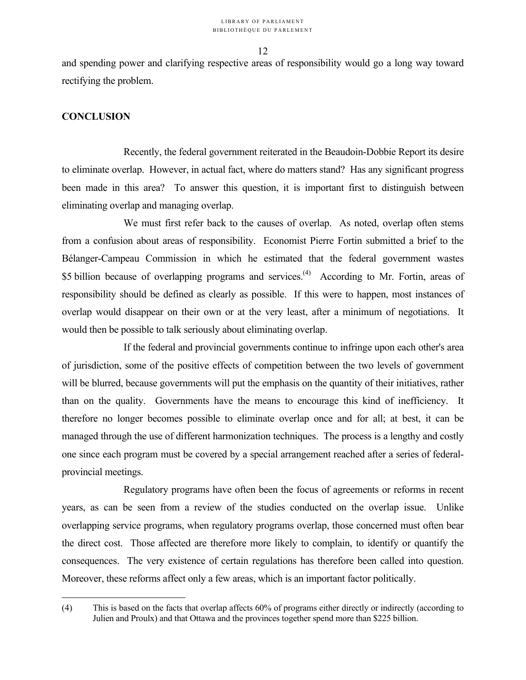and spending power and clarifying respective areas of responsibility would go a long way toward rectifying the problem.

### **CONCLUSION**

 $\overline{a}$ 

 Recently, the federal government reiterated in the Beaudoin-Dobbie Report its desire to eliminate overlap. However, in actual fact, where do matters stand? Has any significant progress been made in this area? To answer this question, it is important first to distinguish between eliminating overlap and managing overlap.

 We must first refer back to the causes of overlap. As noted, overlap often stems from a confusion about areas of responsibility. Economist Pierre Fortin submitted a brief to the Bélanger-Campeau Commission in which he estimated that the federal government wastes \$5 billion because of overlapping programs and services.<sup>(4)</sup> According to Mr. Fortin, areas of responsibility should be defined as clearly as possible. If this were to happen, most instances of overlap would disappear on their own or at the very least, after a minimum of negotiations. It would then be possible to talk seriously about eliminating overlap.

 If the federal and provincial governments continue to infringe upon each other's area of jurisdiction, some of the positive effects of competition between the two levels of government will be blurred, because governments will put the emphasis on the quantity of their initiatives, rather than on the quality. Governments have the means to encourage this kind of inefficiency. It therefore no longer becomes possible to eliminate overlap once and for all; at best, it can be managed through the use of different harmonization techniques. The process is a lengthy and costly one since each program must be covered by a special arrangement reached after a series of federalprovincial meetings.

 Regulatory programs have often been the focus of agreements or reforms in recent years, as can be seen from a review of the studies conducted on the overlap issue. Unlike overlapping service programs, when regulatory programs overlap, those concerned must often bear the direct cost. Those affected are therefore more likely to complain, to identify or quantify the consequences. The very existence of certain regulations has therefore been called into question. Moreover, these reforms affect only a few areas, which is an important factor politically.

<sup>(4)</sup> This is based on the facts that overlap affects 60% of programs either directly or indirectly (according to Julien and Proulx) and that Ottawa and the provinces together spend more than \$225 billion.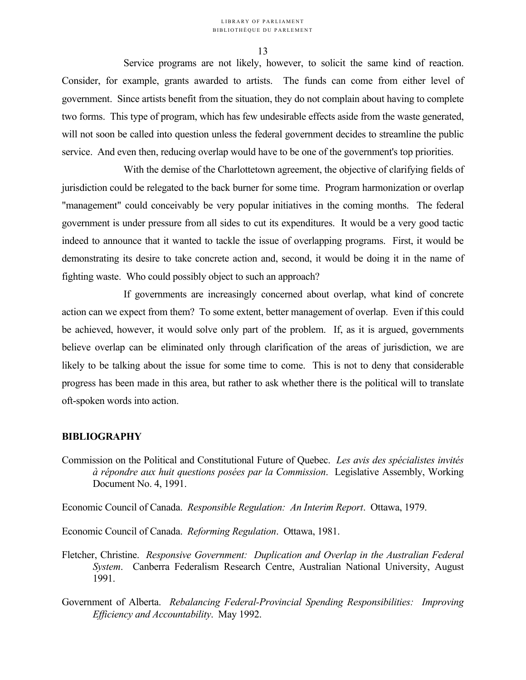Service programs are not likely, however, to solicit the same kind of reaction. Consider, for example, grants awarded to artists. The funds can come from either level of government. Since artists benefit from the situation, they do not complain about having to complete two forms. This type of program, which has few undesirable effects aside from the waste generated, will not soon be called into question unless the federal government decides to streamline the public service. And even then, reducing overlap would have to be one of the government's top priorities.

 With the demise of the Charlottetown agreement, the objective of clarifying fields of jurisdiction could be relegated to the back burner for some time. Program harmonization or overlap "management" could conceivably be very popular initiatives in the coming months. The federal government is under pressure from all sides to cut its expenditures. It would be a very good tactic indeed to announce that it wanted to tackle the issue of overlapping programs. First, it would be demonstrating its desire to take concrete action and, second, it would be doing it in the name of fighting waste. Who could possibly object to such an approach?

 If governments are increasingly concerned about overlap, what kind of concrete action can we expect from them? To some extent, better management of overlap. Even if this could be achieved, however, it would solve only part of the problem. If, as it is argued, governments believe overlap can be eliminated only through clarification of the areas of jurisdiction, we are likely to be talking about the issue for some time to come. This is not to deny that considerable progress has been made in this area, but rather to ask whether there is the political will to translate oft-spoken words into action.

### **BIBLIOGRAPHY**

Commission on the Political and Constitutional Future of Quebec. *Les avis des spécialistes invités à répondre aux huit questions posées par la Commission*. Legislative Assembly, Working Document No. 4, 1991.

Economic Council of Canada. *Responsible Regulation: An Interim Report*. Ottawa, 1979.

Economic Council of Canada. *Reforming Regulation*. Ottawa, 1981.

- Fletcher, Christine. *Responsive Government: Duplication and Overlap in the Australian Federal System*. Canberra Federalism Research Centre, Australian National University, August 1991.
- Government of Alberta. *Rebalancing Federal-Provincial Spending Responsibilities: Improving Efficiency and Accountability*. May 1992.